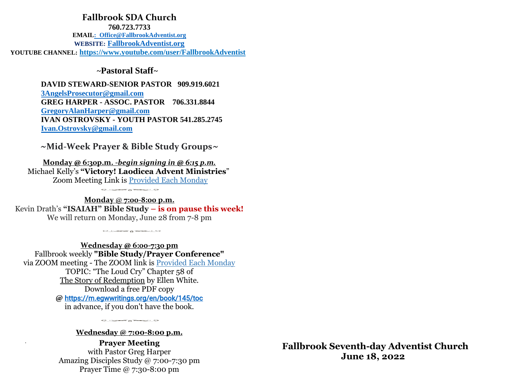## *0jdanbzrbaradanny* **Fallbrook SDA Church**

**760.723.7733 EMAI[L: Office@FallbrookAdventist.org](mailto::%20%20Office@FallbrookAdventist.org)  WEBSITE: [FallbrookAdventist.org](file:///C:/Users/lorra/Dropbox/DOCUMENTS%202022/BULLETINS%202022/FallbrookAdventist.org) YOUTUBE CHANNEL: <https://www.youtube.com/user/FallbrookAdventist>**

## *~***Pastoral Staff***~*

 **DAVID STEWARD-SENIOR PASTOR 909.919.6021 [3AngelsProsecutor@gmail.com](mailto:3AngelsProsecutor@gmail.com)  GREG HARPER - ASSOC. PASTOR 706.331.8844 [GregoryAlanHarper@gmail.com](mailto:GregoryAlanHarper@gmail.com)  IVAN OSTROVSKY - YOUTH PASTOR 541.285.2745  [Ivan.Ostrovsky@gmail.com](mailto:%20%20%20%20Ivan.Ostrovsky@gmail.com)**

*~***Mid-Week Prayer & Bible Study Groups***~*

**Monday @ 6:30p.m. -***begin signing in @ 6:15 p.m.* Michael Kelly's **"Victory! Laodicea Advent Ministries**" Zoom Meeting Link is Provided Each Monday

 $\circ \cdot \circ \circ \circ \circ \circ \circ \circ \circ \circ \circ$ 

**Monday** @ **7:00-8:00 p.m.** Kevin Drath's **"ISAIAH" Bible Study – is on pause this week!** We will return on Monday, June 28 from 7-8 pm

 $\circ$   $\circ$   $\circ$   $\circ$   $\circ$   $\circ$   $\circ$   $\circ$ 

**Wednesday @ 6:00-7:30 pm** Fallbrook weekly **"Bible Study/Prayer Conference"** via ZOOM meeting - The ZOOM link is Provided Each Monday TOPIC: "The Loud Cry" Chapter 58 of The Story of Redemption by Ellen White. Download a free PDF copy **@** <https://m.egwwritings.org/en/book/145/toc> in advance, if you don't have the book.

**Wednesday @ 7:00-8:00 p.m.**

 $\circ \circ \circ \circ \circ \circ \circ \circ \circ \circ \circ$ 

**Prayer Meeting** with Pastor Greg Harper Amazing Disciples Study @ 7:00-7:30 pm Prayer Time @ 7:30-8:00 pm

 **Fallbrook Seventh-day Adventist Church June 18, 2022**